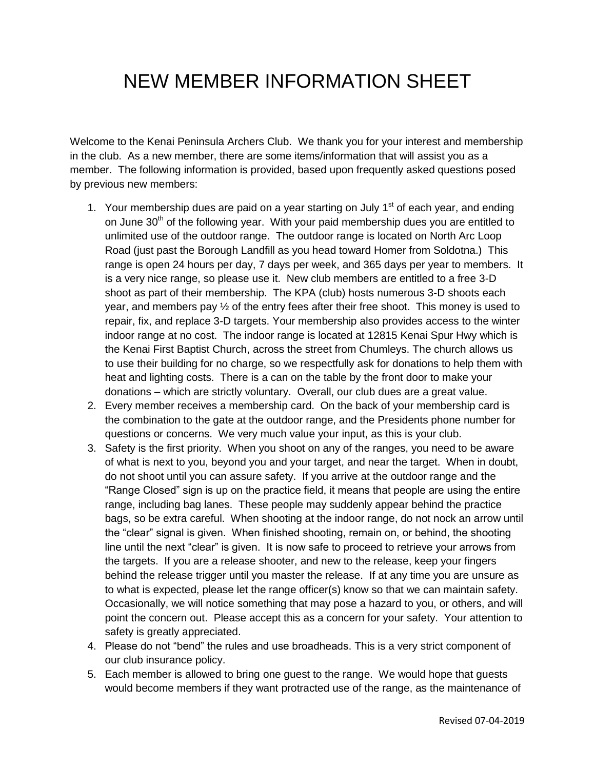## NEW MEMBER INFORMATION SHEET

Welcome to the Kenai Peninsula Archers Club. We thank you for your interest and membership in the club. As a new member, there are some items/information that will assist you as a member. The following information is provided, based upon frequently asked questions posed by previous new members:

- 1. Your membership dues are paid on a year starting on July  $1<sup>st</sup>$  of each year, and ending on June  $30<sup>th</sup>$  of the following year. With your paid membership dues you are entitled to unlimited use of the outdoor range. The outdoor range is located on North Arc Loop Road (just past the Borough Landfill as you head toward Homer from Soldotna.) This range is open 24 hours per day, 7 days per week, and 365 days per year to members. It is a very nice range, so please use it. New club members are entitled to a free 3-D shoot as part of their membership. The KPA (club) hosts numerous 3-D shoots each year, and members pay ½ of the entry fees after their free shoot. This money is used to repair, fix, and replace 3-D targets. Your membership also provides access to the winter indoor range at no cost. The indoor range is located at 12815 Kenai Spur Hwy which is the Kenai First Baptist Church, across the street from Chumleys. The church allows us to use their building for no charge, so we respectfully ask for donations to help them with heat and lighting costs. There is a can on the table by the front door to make your donations – which are strictly voluntary. Overall, our club dues are a great value.
- 2. Every member receives a membership card. On the back of your membership card is the combination to the gate at the outdoor range, and the Presidents phone number for questions or concerns. We very much value your input, as this is your club.
- 3. Safety is the first priority. When you shoot on any of the ranges, you need to be aware of what is next to you, beyond you and your target, and near the target. When in doubt, do not shoot until you can assure safety. If you arrive at the outdoor range and the "Range Closed" sign is up on the practice field, it means that people are using the entire range, including bag lanes. These people may suddenly appear behind the practice bags, so be extra careful. When shooting at the indoor range, do not nock an arrow until the "clear" signal is given. When finished shooting, remain on, or behind, the shooting line until the next "clear" is given. It is now safe to proceed to retrieve your arrows from the targets. If you are a release shooter, and new to the release, keep your fingers behind the release trigger until you master the release. If at any time you are unsure as to what is expected, please let the range officer(s) know so that we can maintain safety. Occasionally, we will notice something that may pose a hazard to you, or others, and will point the concern out. Please accept this as a concern for your safety. Your attention to safety is greatly appreciated.
- 4. Please do not "bend" the rules and use broadheads. This is a very strict component of our club insurance policy.
- 5. Each member is allowed to bring one guest to the range. We would hope that guests would become members if they want protracted use of the range, as the maintenance of